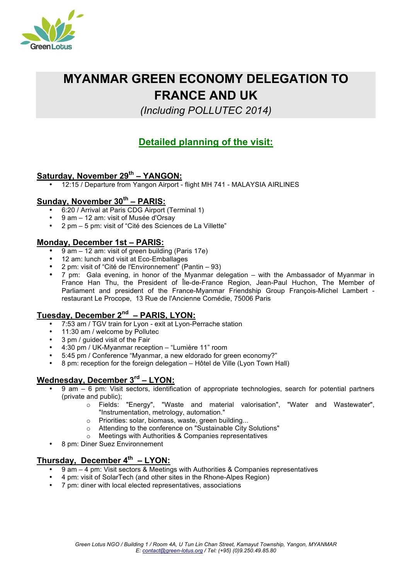

# **MYANMAR GREEN ECONOMY DELEGATION TO FRANCE AND UK**

*(Including POLLUTEC 2014)*

# **Detailed planning of the visit:**

# **Saturday, November 29th – YANGON:**

• 12:15 / Departure from Yangon Airport - flight MH 741 - MALAYSIA AIRLINES

## **Sunday, November 30th – PARIS:**

- 6:20 / Arrival at Paris CDG Airport (Terminal 1)
- 9 am 12 am: visit of Musée d'Orsay
- 2 pm 5 pm: visit of "Cité des Sciences de La Villette"

#### **Monday, December 1st – PARIS:**

- 9 am 12 am: visit of green building (Paris 17e)
- 12 am: lunch and visit at Eco-Emballages
- 2 pm: visit of "Cité de l'Environnement" (Pantin 93)
- 7 pm: Gala evening, in honor of the Myanmar delegation with the Ambassador of Myanmar in France Han Thu, the President of Île-de-France Region, Jean-Paul Huchon, The Member of Parliament and president of the France-Myanmar Friendship Group François-Michel Lambert restaurant Le Procope, 13 Rue de l'Ancienne Comédie, 75006 Paris

## **Tuesday, December 2nd – PARIS, LYON:**

- 7:53 am / TGV train for Lyon exit at Lyon-Perrache station
- 11:30 am / welcome by Pollutec
- 3 pm / guided visit of the Fair
- 4:30 pm / UK-Myanmar reception "Lumière 11" room
- 5:45 pm / Conference "Myanmar, a new eldorado for green economy?"
- 8 pm: reception for the foreign delegation Hôtel de Ville (Lyon Town Hall)

#### **Wednesday, December 3rd – LYON:**

- 9 am 6 pm: Visit sectors, identification of appropriate technologies, search for potential partners (private and public);
	- o Fields: "Energy", "Waste and material valorisation", "Water and Wastewater", "Instrumentation, metrology, automation."
	- Priorities: solar, biomass, waste, green building...
	- Attending to the conference on "Sustainable City Solutions"
	- o Meetings with Authorities & Companies representatives
- 8 pm: Diner Suez Environnement

## **Thursday, December 4th – LYON:**

- 9 am 4 pm: Visit sectors & Meetings with Authorities & Companies representatives
- 4 pm: visit of SolarTech (and other sites in the Rhone-Alpes Region)
- 7 pm: diner with local elected representatives, associations